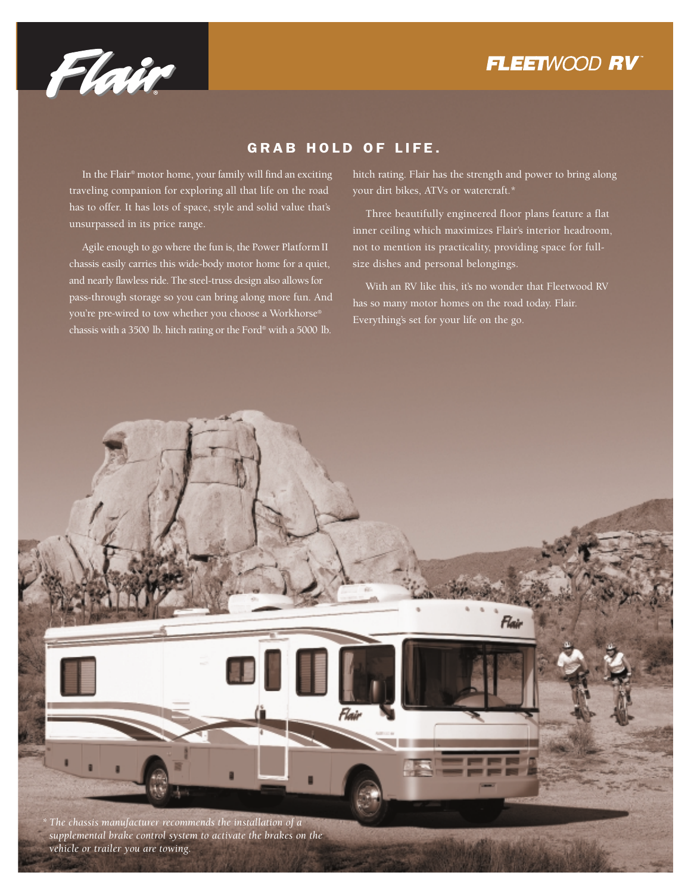



### GRAB HOLD OF LIFE.

In the Flair® motor home, your family will find an exciting traveling companion for exploring all that life on the road has to offer. It has lots of space, style and solid value that's unsurpassed in its price range.

Agile enough to go where the fun is, the Power Platform II chassis easily carries this wide-body motor home for a quiet, and nearly flawless ride. The steel-truss design also allows for pass-through storage so you can bring along more fun. And you're pre-wired to tow whether you choose a Workhorse® chassis with a 3500 lb. hitch rating or the Ford® with a 5000 lb.

hitch rating. Flair has the strength and power to bring along your dirt bikes, ATVs or watercraft.\*

Three beautifully engineered floor plans feature a flat inner ceiling which maximizes Flair's interior headroom, not to mention its practicality, providing space for fullsize dishes and personal belongings.

With an RV like this, it's no wonder that Fleetwood RV has so many motor homes on the road today. Flair. Everything's set for your life on the go.

Flair *\* The chassis manufacturer recommends the installation of a supplemental brake control system to activate the brakes on the vehicle or trailer you are towing.*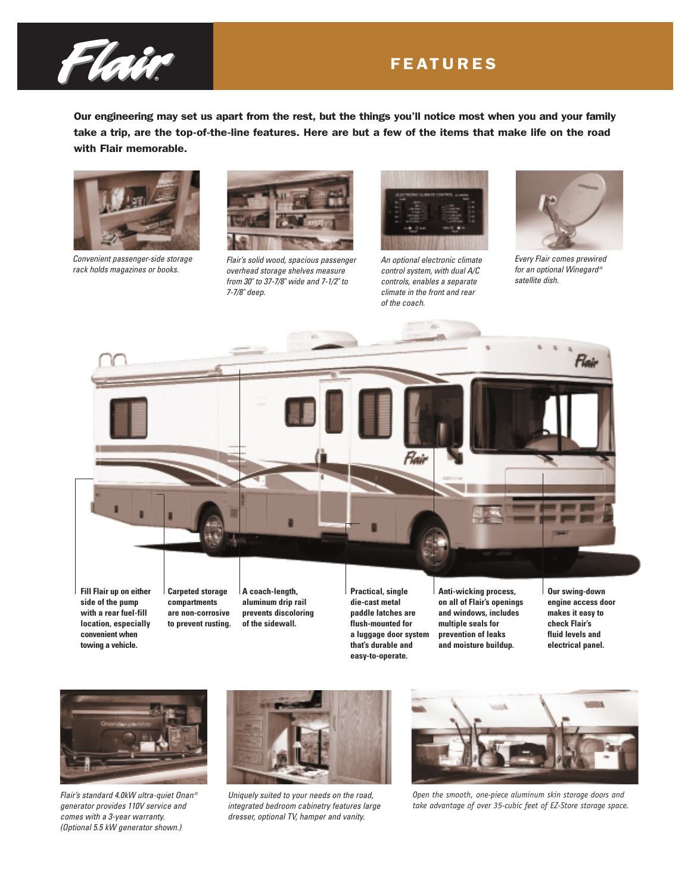

### FEATURES

Our engineering may set us apart from the rest, but the things you'll notice most when you and your family take a trip, are the top-of-the-line features. Here are but a few of the items that make life on the road with Flair memorable.



*Convenient passenger-side storage rack holds magazines or books.* 



*Flair's solid wood, spacious passenger overhead storage shelves measure from 30" to 37-7/8" wide and 7-1/2" to 7-7/8" deep.*



*An optional electronic climate control system, with dual A/C controls, enables a separate climate in the front and rear of the coach.*

Flaii



*Every Flair comes prewired for an optional Winegard ® satellite dish.*

Flair

**A coach-length, aluminum drip rail prevents discoloring of the sidewall. Fill Flair up on either side of the pump with a rear fuel-fill location, especially convenient when Carpeted storage compartments are non-corrosive to prevent rusting.**

**Practical, single die-cast metal paddle latches are flush-mounted for a luggage door system that's durable and easy-to-operate.**

**Anti-wicking process, on all of Flair's openings and windows, includes multiple seals for prevention of leaks and moisture buildup.**

**Our swing-down engine access door makes it easy to check Flair's fluid levels and electrical panel.**



**towing a vehicle.**

*Flair's standard 4.0kW ultra-quiet Onan ® generator provides 110V service and comes with a 3-year warranty. (Optional 5.5 kW generator shown.)*



*Uniquely suited to your needs on the road, integrated bedroom cabinetry features large dresser, optional TV, hamper and vanity.*



*Open the smooth, one-piece aluminum skin storage doors and take advantage of over 35-cubic feet of EZ-Store storage space.*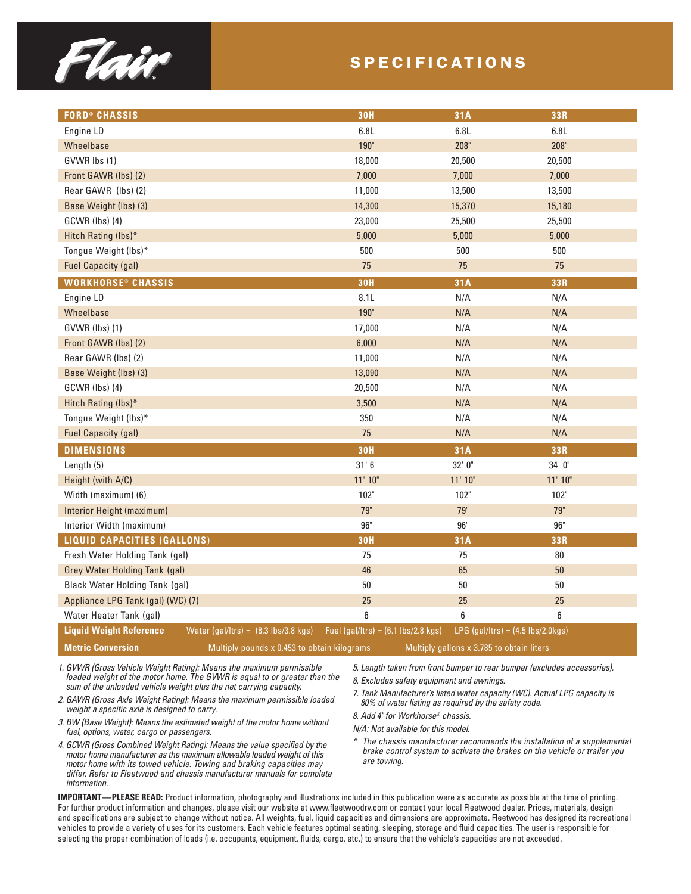

### SPECIFICATIONS

| <b>FORD® CHASSIS</b>               |                                             | <b>30H</b>                                           | 31A                                       | 33R          |
|------------------------------------|---------------------------------------------|------------------------------------------------------|-------------------------------------------|--------------|
| Engine LD                          |                                             | 6.8L                                                 | 6.8L                                      | 6.8L         |
| Wheelbase                          |                                             | 190"                                                 | 208"                                      | 208"         |
| GVWR lbs (1)                       |                                             | 18,000                                               | 20,500                                    | 20,500       |
| Front GAWR (lbs) (2)               |                                             | 7,000                                                | 7,000                                     | 7,000        |
| Rear GAWR (lbs) (2)                |                                             | 11,000                                               | 13,500                                    | 13,500       |
| Base Weight (lbs) (3)              |                                             | 14,300                                               | 15,370                                    | 15,180       |
| GCWR (lbs) (4)                     |                                             | 23,000                                               | 25,500                                    | 25,500       |
| Hitch Rating (lbs)*                |                                             | 5,000                                                | 5,000                                     | 5,000        |
| Tongue Weight (lbs)*               |                                             | 500                                                  | 500                                       | 500          |
| <b>Fuel Capacity (gal)</b>         |                                             | 75                                                   | 75                                        | 75           |
| <b>WORKHORSE® CHASSIS</b>          |                                             | <b>30H</b>                                           | 31A                                       | 33R          |
| Engine LD                          |                                             | 8.1L                                                 | N/A                                       | N/A          |
| Wheelbase                          |                                             | 190"                                                 | N/A                                       | N/A          |
| GVWR (lbs) (1)                     |                                             | 17,000                                               | N/A                                       | N/A          |
| Front GAWR (lbs) (2)               |                                             | 6,000                                                | N/A                                       | N/A          |
| Rear GAWR (lbs) (2)                |                                             | 11,000                                               | N/A                                       | N/A          |
| Base Weight (lbs) (3)              |                                             | 13,090                                               | N/A                                       | N/A          |
| GCWR (lbs) (4)                     |                                             | 20,500                                               | N/A                                       | N/A          |
| Hitch Rating (lbs)*                |                                             | 3,500                                                | N/A                                       | N/A          |
| Tongue Weight (lbs)*               |                                             | 350                                                  | N/A                                       | N/A          |
| <b>Fuel Capacity (gal)</b>         |                                             | 75                                                   | N/A                                       | N/A          |
| <b>DIMENSIONS</b>                  |                                             | <b>30H</b>                                           | 31A                                       | 33R          |
| Length (5)                         |                                             | 31'6''                                               | 32' 0"                                    | 34'0''       |
| Height (with A/C)                  |                                             | $11'$ $10"$                                          | $11'$ $10"$                               | $11'$ $10"$  |
| Width (maximum) (6)                |                                             | 102"                                                 | 102"                                      | 102"         |
| Interior Height (maximum)          |                                             | 79"                                                  | 79"                                       | 79"          |
| Interior Width (maximum)           |                                             | $96"$                                                | 96"                                       | $96^{\circ}$ |
| <b>LIQUID CAPACITIES (GALLONS)</b> |                                             | <b>30H</b>                                           | 31A                                       | 33R          |
| Fresh Water Holding Tank (gal)     |                                             | 75                                                   | 75                                        | $80\,$       |
| Grey Water Holding Tank (gal)      |                                             | 46                                                   | 65                                        | 50           |
| Black Water Holding Tank (gal)     |                                             | 50                                                   | 50                                        | 50           |
| Appliance LPG Tank (gal) (WC) (7)  |                                             | 25                                                   | 25                                        | 25           |
| Water Heater Tank (gal)            |                                             | 6                                                    | 6                                         | 6            |
| <b>Liquid Weight Reference</b>     | Water $(gal/ltrs) = (8.3 lbs/3.8 kgs)$      | Fuel (gal/ltrs) = $(6.1 \text{ lbs}/2.8 \text{ kg})$ | $LPG$ (gal/ltrs) = (4.5 lbs/2.0kgs)       |              |
| <b>Metric Conversion</b>           | Multiply pounds x 0.453 to obtain kilograms |                                                      | Multiply gallons x 3.785 to obtain liters |              |

*1. GVWR (Gross Vehicle Weight Rating): Means the maximum permissible loaded weight of the motor home. The GVWR is equal to or greater than the sum of the unloaded vehicle weight plus the net carrying capacity.*

*2. GAWR (Gross Axle Weight Rating): Means the maximum permissible loaded weight a specific axle is designed to carry.*

*3. BW (Base Weight): Means the estimated weight of the motor home without fuel, options, water, cargo or passengers.*

*4. GCWR (Gross Combined Weight Rating): Means the value specified by the motor home manufacturer as the maximum allowable loaded weight of this motor home with its towed vehicle. Towing and braking capacities may differ. Refer to Fleetwood and chassis manufacturer manuals for complete information.*

*5. Length taken from front bumper to rear bumper (excludes accessories).*

*6. Excludes safety equipment and awnings.*

*7. Tank Manufacturer's listed water capacity (WC). Actual LPG capacity is 80% of water listing as required by the safety code.*

*8. Add 4" for Workhorse® chassis.*

*N/A: Not available for this model.*

*\* The chassis manufacturer recommends the installation of a supplemental brake control system to activate the brakes on the vehicle or trailer you are towing.*

**IMPORTANT—PLEASE READ:** Product information, photography and illustrations included in this publication were as accurate as possible at the time of printing. For further product information and changes, please visit our website at www.fleetwoodrv.com or contact your local Fleetwood dealer. Prices, materials, design and specifications are subject to change without notice. All weights, fuel, liquid capacities and dimensions are approximate. Fleetwood has designed its recreational vehicles to provide a variety of uses for its customers. Each vehicle features optimal seating, sleeping, storage and fluid capacities. The user is responsible for selecting the proper combination of loads (i.e. occupants, equipment, fluids, cargo, etc.) to ensure that the vehicle's capacities are not exceeded.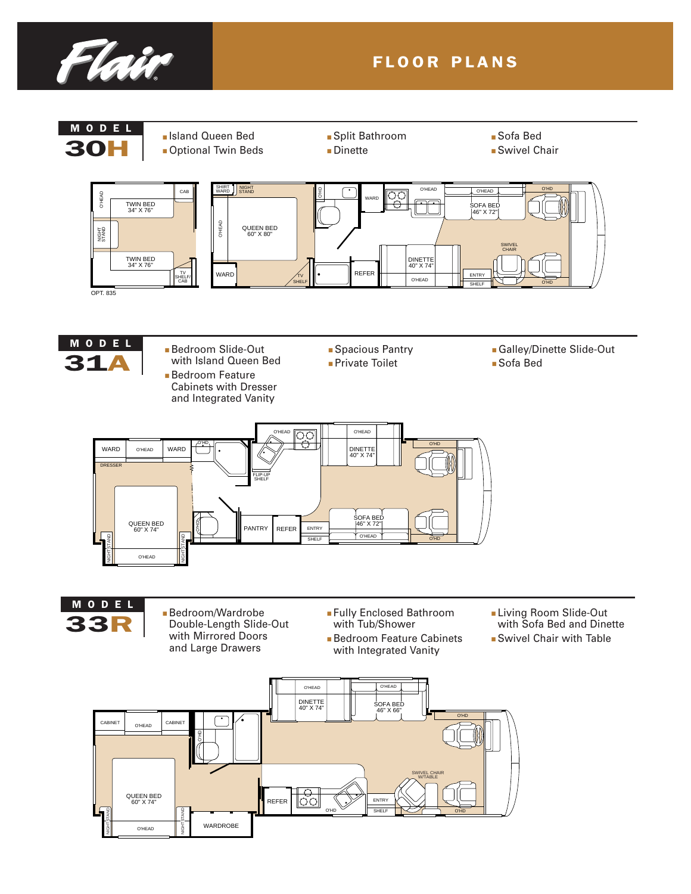

### FLOOR PLANS

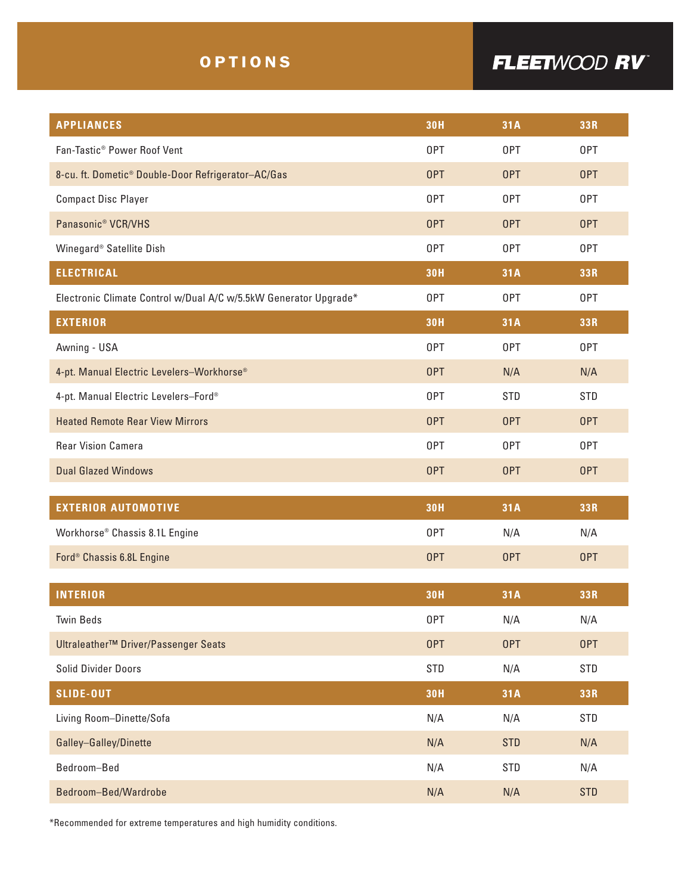### OPTIONS

## FLEETWOOD RV

| <b>APPLIANCES</b>                                                | <b>30H</b> | 31A        | 33R        |
|------------------------------------------------------------------|------------|------------|------------|
| Fan-Tastic <sup>®</sup> Power Roof Vent                          | 0PT        | 0PT        | 0PT        |
| 8-cu. ft. Dometic <sup>®</sup> Double-Door Refrigerator-AC/Gas   | 0PT        | 0PT        | <b>OPT</b> |
| <b>Compact Disc Player</b>                                       | 0PT        | 0PT        | 0PT        |
| Panasonic <sup>®</sup> VCR/VHS                                   | <b>OPT</b> | 0PT        | <b>OPT</b> |
| Winegard <sup>®</sup> Satellite Dish                             | 0PT        | 0PT        | 0PT        |
| <b>ELECTRICAL</b>                                                | <b>30H</b> | 31A        | 33R        |
| Electronic Climate Control w/Dual A/C w/5.5kW Generator Upgrade* | 0PT        | 0PT        | 0PT        |
| <b>EXTERIOR</b>                                                  | <b>30H</b> | 31A        | 33R        |
| Awning - USA                                                     | 0PT        | 0PT        | 0PT        |
| 4-pt. Manual Electric Levelers-Workhorse®                        | 0PT        | N/A        | N/A        |
| 4-pt. Manual Electric Levelers-Ford®                             | 0PT        | <b>STD</b> | <b>STD</b> |
| <b>Heated Remote Rear View Mirrors</b>                           | 0PT        | 0PT        | 0PT        |
| <b>Rear Vision Camera</b>                                        | 0PT        | 0PT        | 0PT        |
| <b>Dual Glazed Windows</b>                                       | 0PT        | OPT        | <b>OPT</b> |
|                                                                  |            |            |            |
| <b>EXTERIOR AUTOMOTIVE</b>                                       | <b>30H</b> | 31A        | 33R        |
| Workhorse <sup>®</sup> Chassis 8.1L Engine                       | 0PT        | N/A        | N/A        |
| Ford <sup>®</sup> Chassis 6.8L Engine                            | 0PT        | 0PT        | <b>OPT</b> |
| <b>INTERIOR</b>                                                  | <b>30H</b> | 31A        | 33R        |
| <b>Twin Beds</b>                                                 | 0PT        | N/A        | N/A        |
| Ultraleather <sup>™</sup> Driver/Passenger Seats                 | <b>OPT</b> | 0PT        | <b>OPT</b> |
| Solid Divider Doors                                              | <b>STD</b> | N/A        | <b>STD</b> |
| <b>SLIDE-OUT</b>                                                 | <b>30H</b> | 31A        | 33R        |
| Living Room-Dinette/Sofa                                         | N/A        | N/A        | <b>STD</b> |
| Galley-Galley/Dinette                                            | N/A        | <b>STD</b> | N/A        |
| Bedroom-Bed                                                      | N/A        | <b>STD</b> | N/A        |
| Bedroom-Bed/Wardrobe                                             | N/A        | N/A        | <b>STD</b> |

\*Recommended for extreme temperatures and high humidity conditions.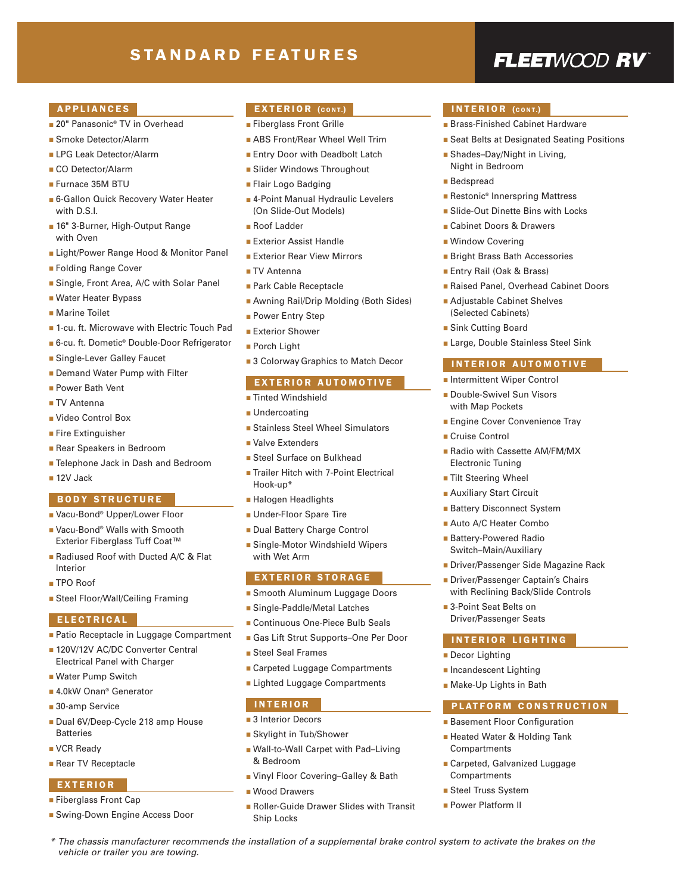### STANDARD FEATURES

### FLEETWOOD RV

### APPLIANCES

- 20" Panasonic® TV in Overhead
- Smoke Detector/Alarm
- LPG Leak Detector/Alarm
- CO Detector/Alarm
- Furnace 35M BTU
- 6-Gallon Quick Recovery Water Heater with D.S.I.
- 16" 3-Burner, High-Output Range with Oven
- Light/Power Range Hood & Monitor Panel
- Folding Range Cover
- Single, Front Area, A/C with Solar Panel
- Water Heater Bypass
- Marine Toilet
- 1-cu. ft. Microwave with Electric Touch Pad
- 6-cu. ft. Dometic® Double-Door Refrigerator
- Single-Lever Galley Faucet
- Demand Water Pump with Filter
- Power Bath Vent
- TV Antenna
- Video Control Box
- Fire Extinguisher
- Rear Speakers in Bedroom
- Telephone Jack in Dash and Bedroom
- 12V Jack

### BODY STRUCTURE

- Vacu-Bond<sup>®</sup> Upper/Lower Floor
- Vacu-Bond® Walls with Smooth Exterior Fiberglass Tuff Coat™
- Radiused Roof with Ducted A/C & Flat Interior
- TPO Roof
- Steel Floor/Wall/Ceiling Framing

#### ELECTRICAL

- Patio Receptacle in Luggage Compartment
- 120V/12V AC/DC Converter Central Electrical Panel with Charger
- Water Pump Switch
- 4.0kW Onan<sup>®</sup> Generator
- 30-amp Service
- Dual 6V/Deep-Cycle 218 amp House Batteries
- VCR Ready
- Rear TV Receptacle

### EXTERIOR

- Fiberglass Front Cap
- Swing-Down Engine Access Door

*vehicle or trailer you are towing.*

### EXTERIOR (CONT.)

- Fiberglass Front Grille
- ABS Front/Rear Wheel Well Trim
- Entry Door with Deadbolt Latch
- Slider Windows Throughout
- Flair Logo Badging
- 4-Point Manual Hydraulic Levelers (On Slide-Out Models)
- Roof Ladder
- Exterior Assist Handle
- Exterior Rear View Mirrors
- TV Antenna
- Park Cable Receptacle
- Awning Rail/Drip Molding (Both Sides)
- Power Entry Step
- Exterior Shower
- Porch Light
- 3 Colorway Graphics to Match Decor

#### EXTERIOR AUTOMOTIVE

#### ■ Tinted Windshield

- Undercoating
- Stainless Steel Wheel Simulators
- Valve Extenders
- Steel Surface on Bulkhead
- Trailer Hitch with 7-Point Electrical Hook-up\*
- Halogen Headlights
- Under-Floor Spare Tire
- Dual Battery Charge Control
- Single-Motor Windshield Wipers with Wet Arm

#### EXTERIOR STORAGE

- Smooth Aluminum Luggage Doors
- Single-Paddle/Metal Latches
- Continuous One-Piece Bulb Seals
- Gas Lift Strut Supports–One Per Door
- Steel Seal Frames
- Carpeted Luggage Compartments
- Lighted Luggage Compartments

#### INTERIOR

- 3 Interior Decors
- Skylight in Tub/Shower
- Wall-to-Wall Carpet with Pad–Living & Bedroom
- Vinyl Floor Covering-Galley & Bath
- Wood Drawers
- Roller-Guide Drawer Slides with Transit Ship Locks

*\* The chassis manufacturer recommends the installation of a supplemental brake control system to activate the brakes on the*

### INTERIOR (CONT.)

- Brass-Finished Cabinet Hardware
- Seat Belts at Designated Seating Positions
- Shades–Day/Night in Living, Night in Bedroom
- Bedspread
- Restonic<sup>®</sup> Innerspring Mattress
- Slide-Out Dinette Bins with Locks
- Cabinet Doors & Drawers
- Window Covering

■ Sink Cutting Board

■ Cruise Control

Electronic Tuning ■ Tilt Steering Wheel ■ Auxiliary Start Circuit ■ Battery Disconnect System ■ Auto A/C Heater Combo ■ Battery-Powered Radio Switch–Main/Auxiliary

■ 3-Point Seat Belts on Driver/Passenger Seats

■ Decor Lighting ■ Incandescent Lighting ■ Make-Up Lights in Bath

Compartments

Compartments ■ Steel Truss System ■ Power Platform II

INTERIOR LIGHTING

■ Basement Floor Configuration ■ Heated Water & Holding Tank

■ Carpeted, Galvanized Luggage

- Bright Brass Bath Accessories
- Entry Rail (Oak & Brass)
- Raised Panel, Overhead Cabinet Doors
- Adjustable Cabinet Shelves (Selected Cabinets)

■ Large, Double Stainless Steel Sink INTERIOR AUTOMOTIVE ■ Intermittent Wiper Control ■ Double-Swivel Sun Visors with Map Pockets

■ Engine Cover Convenience Tray

■ Radio with Cassette AM/FM/MX

■ Driver/Passenger Side Magazine Rack ■ Driver/Passenger Captain's Chairs with Reclining Back/Slide Controls

PLATFORM CONSTRUCTION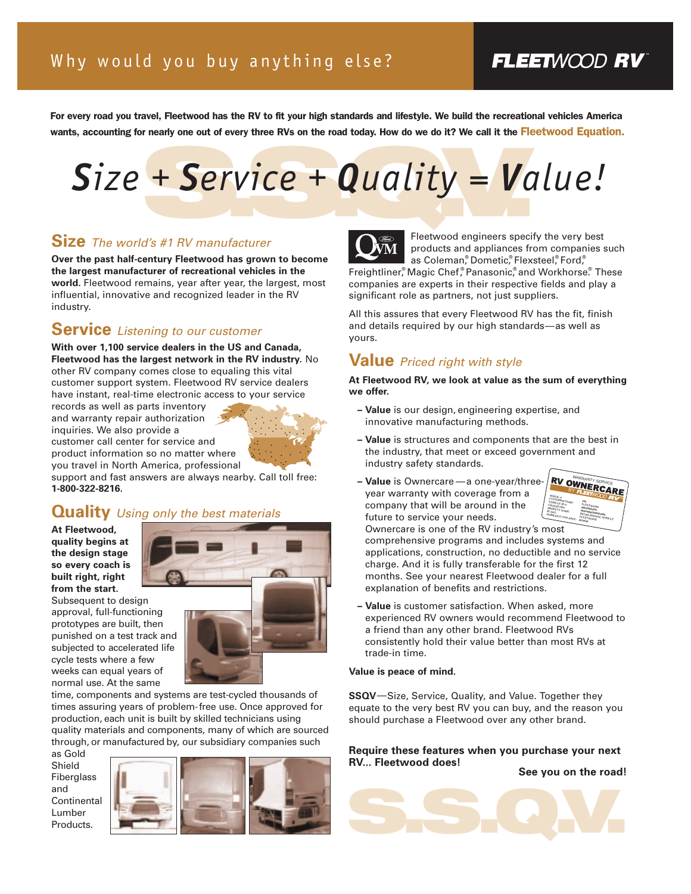### FLEETWOOD RV

For every road you travel, Fleetwood has the RV to fit your high standards and lifestyle. We build the recreational vehicles America wants, accounting for nearly one out of every three RVs on the road today. How do we do it? We call it the Fleetwood Equation.

# + Service + Quality = Va *Size + Service + Quality = Value!*

### **Size** *The world's #1 RV manufacturer*

**Over the past half-century Fleetwood has grown to become the largest manufacturer of recreational vehicles in the world.** Fleetwood remains, year after year, the largest, most influential, innovative and recognized leader in the RV industry.

### **Service** *Listening to our customer*

**With over 1,100 service dealers in the US and Canada, Fleetwood has the largest network in the RV industry.** No other RV company comes close to equaling this vital customer support system. Fleetwood RV service dealers have instant, real-time electronic access to your service

records as well as parts inventory and warranty repair authorization inquiries. We also provide a customer call center for service and product information so no matter where you travel in North America, professional



support and fast answers are always nearby. Call toll free: **1-800-322-8216.**

### **Quality** *Using only the best materials*

**At Fleetwood, quality begins at the design stage so every coach is built right, right from the start.**



approval, full-functioning prototypes are built, then punished on a test track and subjected to accelerated life cycle tests where a few weeks can equal years of normal use. At the same

time, components and systems are test-cycled thousands of times assuring years of problem-free use. Once approved for production, each unit is built by skilled technicians using quality materials and components, many of which are sourced through, or manufactured by, our subsidiary companies such

as Gold Shield Fiberglass and **Continental** Lumber Products.





Fleetwood engineers specify the very best products and appliances from companies such as Coleman,<sup>®</sup> Dometic,® Flexsteel,® Ford,® Freightliner,<sup>®</sup> Magic Chef,® Panasonic,® and Workhorse.® These

companies are experts in their respective fields and play a significant role as partners, not just suppliers.

All this assures that every Fleetwood RV has the fit, finish and details required by our high standards—as well as yours.

### **Value** *Priced right with style*

**At Fleetwood RV, we look at value as the sum of everything we offer.** 

- **Value** is our design, engineering expertise, and innovative manufacturing methods.
- **Value** is structures and components that are the best in the industry, that meet or exceed government and industry safety standards.
- **Value** is Ownercare —a one-year/threeyear warranty with coverage from a company that will be around in the future to service your needs.



Ownercare is one of the RV industry's most comprehensive programs and includes systems and applications, construction, no deductible and no service charge. And it is fully transferable for the first 12 months. See your nearest Fleetwood dealer for a full explanation of benefits and restrictions.

**– Value** is customer satisfaction. When asked, more experienced RV owners would recommend Fleetwood to a friend than any other brand. Fleetwood RVs consistently hold their value better than most RVs at trade-in time.

### **Value is peace of mind.**

**SSQV**—Size, Service, Quality, and Value. Together they equate to the very best RV you can buy, and the reason you should purchase a Fleetwood over any other brand.

### **Require these features when you purchase your next RV... Fleetwood does!**

**See you on the road!**